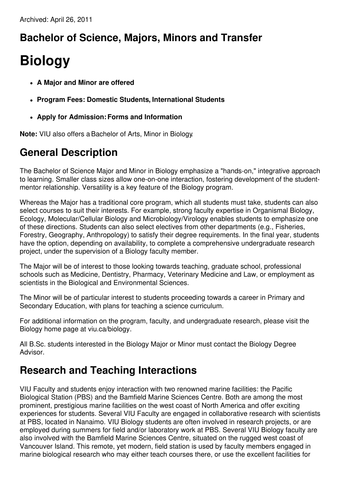# **Bachelor of Science, Majors, Minors and Transfer**

# **Biology**

- **A Major and Minor are offered**
- **Program Fees: Domestic Students, International Students**
- **Apply for Admission:Forms and Information**

**Note:** VIU also offers aBachelor of Arts, Minor in Biology.

### **General Description**

The Bachelor of Science Major and Minor in Biology emphasize a "hands-on," integrative approach to learning. Smaller class sizes allow one-on-one interaction, fostering development of the studentmentor relationship. Versatility is a key feature of the Biology program.

Whereas the Major has a traditional core program, which all students must take, students can also select courses to suit their interests. For example, strong faculty expertise in Organismal Biology, Ecology, Molecular/Cellular Biology and Microbiology/Virology enables students to emphasize one of these directions. Students can also select electives from other departments (e.g., Fisheries, Forestry, Geography, Anthropology) to satisfy their degree requirements. In the final year, students have the option, depending on availability, to complete a comprehensive undergraduate research project, under the supervision of a Biology faculty member.

The Major will be of interest to those looking towards teaching, graduate school, professional schools such as Medicine, Dentistry, Pharmacy, Veterinary Medicine and Law, or employment as scientists in the Biological and Environmental Sciences.

The Minor will be of particular interest to students proceeding towards a career in Primary and Secondary Education, with plans for teaching a science curriculum.

For additional information on the program, faculty, and undergraduate research, please visit the Biology home page at viu.ca/biology.

All B.Sc. students interested in the Biology Major or Minor must contact the Biology Degree Advisor.

### **Research and Teaching Interactions**

VIU Faculty and students enjoy interaction with two renowned marine facilities: the Pacific Biological Station (PBS) and the Bamfield Marine Sciences Centre. Both are among the most prominent, prestigious marine facilities on the west coast of North America and offer exciting experiences for students. Several VIU Faculty are engaged in collaborative research with scientists at PBS, located in Nanaimo. VIU Biology students are often involved in research projects, or are employed during summers for field and/or laboratory work at PBS. Several VIU Biology faculty are also involved with the Bamfield Marine Sciences Centre, situated on the rugged west coast of Vancouver Island. This remote, yet modern, field station is used by faculty members engaged in marine biological research who may either teach courses there, or use the excellent facilities for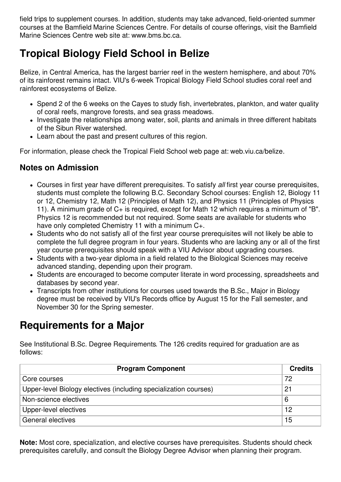field trips to supplement courses. In addition, students may take advanced, field-oriented summer courses at the Bamfield Marine Sciences Centre. For details of course offerings, visit the Bamfield Marine Sciences Centre web site at: www.bms.bc.ca.

# **Tropical Biology Field School in Belize**

Belize, in Central America, has the largest barrier reef in the western hemisphere, and about 70% of its rainforest remains intact. VIU's 6-week Tropical Biology Field School studies coral reef and rainforest ecosystems of Belize.

- Spend 2 of the 6 weeks on the Cayes to study fish, invertebrates, plankton, and water quality of coral reefs, mangrove forests, and sea grass meadows.
- Investigate the relationships among water, soil, plants and animals in three different habitats of the Sibun River watershed.
- Learn about the past and present cultures of this region.

For information, please check the Tropical Field School web page at: web.viu.ca/belize.

#### **Notes on Admission**

- Courses in first year have different prerequisites. To satisfy *all* first year course prerequisites, students must complete the following B.C. Secondary School courses: English 12, Biology 11 or 12, Chemistry 12, Math 12 (Principles of Math 12), and Physics 11 (Principles of Physics 11). A minimum grade of C+ is required, except for Math 12 which requires a minimum of "B". Physics 12 is recommended but not required. Some seats are available for students who have only completed Chemistry 11 with a minimum C+.
- Students who do not satisfy all of the first year course prerequisites will not likely be able to complete the full degree program in four years. Students who are lacking any or all of the first year course prerequisites should speak with a VIU Advisor about upgrading courses.
- Students with a two-year diploma in a field related to the Biological Sciences may receive advanced standing, depending upon their program.
- Students are encouraged to become computer literate in word processing, spreadsheets and databases by second year.
- Transcripts from other institutions for courses used towards the B.Sc., Major in Biology degree must be received by VIU's Records office by August 15 for the Fall semester, and November 30 for the Spring semester.

## **Requirements for a Major**

See Institutional B.Sc. Degree Requirements. The 126 credits required for graduation are as follows:

| <b>Program Component</b>                                         | <b>Credits</b> |
|------------------------------------------------------------------|----------------|
| Core courses                                                     | 72             |
| Upper-level Biology electives (including specialization courses) | 21             |
| Non-science electives                                            | 6              |
| Upper-level electives                                            | 12             |
| General electives                                                | 15             |

**Note:** Most core, specialization, and elective courses have prerequisites. Students should check prerequisites carefully, and consult the Biology Degree Advisor when planning their program.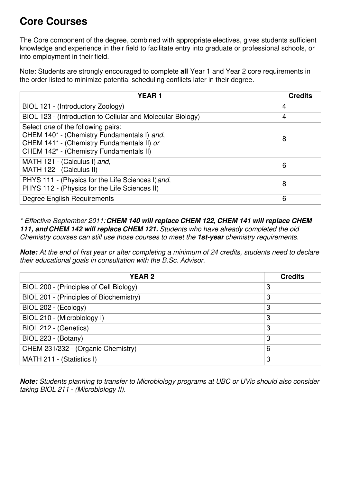# **Core Courses**

The Core component of the degree, combined with appropriate electives, gives students sufficient knowledge and experience in their field to facilitate entry into graduate or professional schools, or into employment in their field.

Note: Students are strongly encouraged to complete **all** Year 1 and Year 2 core requirements in the order listed to minimize potential scheduling conflicts later in their degree.

| <b>YEAR1</b>                                                                                                                                                               | <b>Credits</b> |
|----------------------------------------------------------------------------------------------------------------------------------------------------------------------------|----------------|
| BIOL 121 - (Introductory Zoology)                                                                                                                                          | 4              |
| BIOL 123 - (Introduction to Cellular and Molecular Biology)                                                                                                                | 4              |
| Select one of the following pairs:<br>CHEM 140* - (Chemistry Fundamentals I) and,<br>CHEM 141* - (Chemistry Fundamentals II) or<br>CHEM 142* - (Chemistry Fundamentals II) | 8              |
| MATH 121 - (Calculus I) and,<br>MATH 122 - (Calculus II)                                                                                                                   | 6              |
| PHYS 111 - (Physics for the Life Sciences I) and,<br>PHYS 112 - (Physics for the Life Sciences II)                                                                         | 8              |
| Degree English Requirements                                                                                                                                                | 6              |

*\* Effective September 2011:CHEM 140 will replace CHEM 122, CHEM 141 will replace CHEM 111, and CHEM 142 will replace CHEM 121. Students who have already completed the old Chemistry courses can still use those courses to meet the 1st-year chemistry requirements.*

**Note:** At the end of first year or after completing a minimum of 24 credits, students need to declare *their educational goals in consultation with the B.Sc. Advisor.*

| <b>YEAR2</b>                            | <b>Credits</b> |
|-----------------------------------------|----------------|
| BIOL 200 - (Principles of Cell Biology) | 3              |
| BIOL 201 - (Principles of Biochemistry) | 3              |
| BIOL 202 - (Ecology)                    | 3              |
| BIOL 210 - (Microbiology I)             | 3              |
| BIOL 212 - (Genetics)                   | 3              |
| BIOL 223 - (Botany)                     | 3              |
| CHEM 231/232 - (Organic Chemistry)      | 6              |
| MATH 211 - (Statistics I)               | 3              |

*Note: Students planning to transfer to Microbiology programs at UBC or UVic should also consider taking BIOL 211 - (Microbiology II).*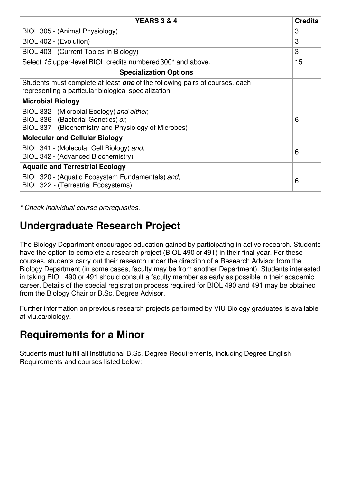| <b>YEARS 3 &amp; 4</b>                                                                                                                     | <b>Credits</b> |
|--------------------------------------------------------------------------------------------------------------------------------------------|----------------|
| BIOL 305 - (Animal Physiology)                                                                                                             | 3              |
| BIOL 402 - (Evolution)                                                                                                                     | 3              |
| BIOL 403 - (Current Topics in Biology)                                                                                                     | 3              |
| Select 15 upper-level BIOL credits numbered 300* and above.                                                                                | 15             |
| <b>Specialization Options</b>                                                                                                              |                |
| Students must complete at least <b>one</b> of the following pairs of courses, each<br>representing a particular biological specialization. |                |
| <b>Microbial Biology</b>                                                                                                                   |                |
| BIOL 332 - (Microbial Ecology) and either,<br>BIOL 336 - (Bacterial Genetics) or,<br>BIOL 337 - (Biochemistry and Physiology of Microbes)  | 6              |
| <b>Molecular and Cellular Biology</b>                                                                                                      |                |
| BIOL 341 - (Molecular Cell Biology) and,<br>BIOL 342 - (Advanced Biochemistry)                                                             | 6              |
| <b>Aquatic and Terrestrial Ecology</b>                                                                                                     |                |
| BIOL 320 - (Aquatic Ecosystem Fundamentals) and,<br><b>BIOL 322 - (Terrestrial Ecosystems)</b>                                             | 6              |

*\* Check individual course prerequisites.*

### **Undergraduate Research Project**

The Biology Department encourages education gained by participating in active research. Students have the option to complete a research project (BIOL 490 or 491) in their final year. For these courses, students carry out their research under the direction of a Research Advisor from the Biology Department (in some cases, faculty may be from another Department). Students interested in taking BIOL 490 or 491 should consult a faculty member as early as possible in their academic career. Details of the special registration process required for BIOL 490 and 491 may be obtained from the Biology Chair or B.Sc. Degree Advisor.

Further information on previous research projects performed by VIU Biology graduates is available at viu.ca/biology.

### **Requirements for a Minor**

Students must fulfill all Institutional B.Sc. Degree Requirements, including Degree English Requirements and courses listed below: